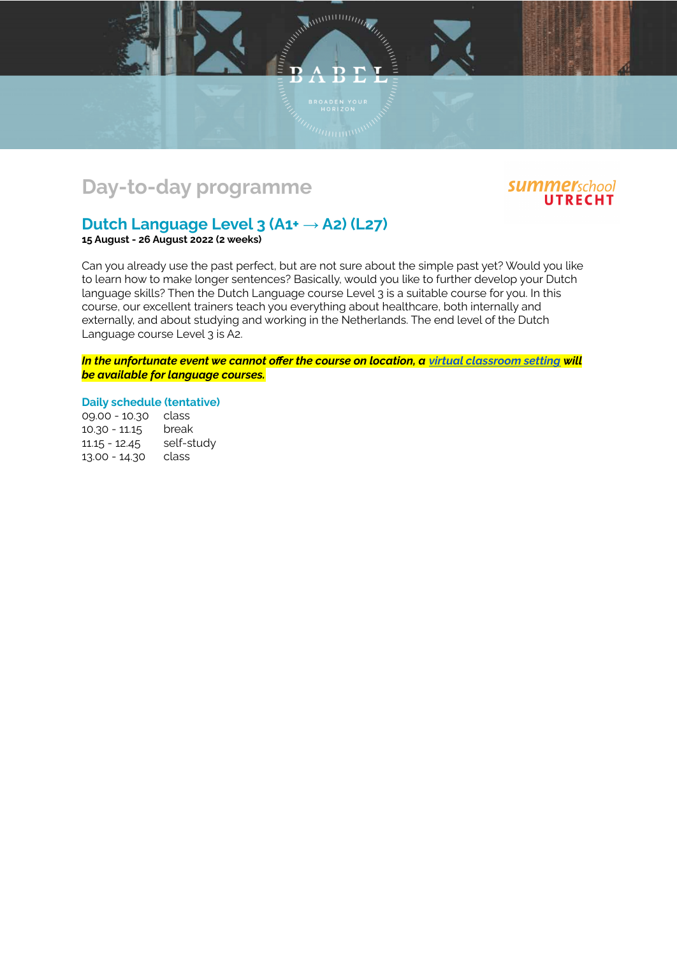



## **Dutch Language Level 3 (A1+ → A2) (L27)**

**15 August - 26 August 2022 (2 weeks)**

Can you already use the past perfect, but are not sure about the simple past yet? Would you like to learn how to make longer sentences? Basically, would you like to further develop your Dutch language skills? Then the Dutch Language course Level 3 is a suitable course for you. In this course, our excellent trainers teach you everything about healthcare, both internally and externally, and about studying and working in the Netherlands. The end level of the Dutch Language course Level 3 is A2.

E D A D P

ם

*In the unfortunate event we cannot offer the course on location, a virtual [classroom](https://www.babel.nl/en/english/virtualclassroom/) setting will be available for language courses.*

**Daily schedule (tentative)**

09.00 - 10.30 class 10.30 - 11.15 break 11.15 - 12.45 self-study 13.00 - 14.30 class